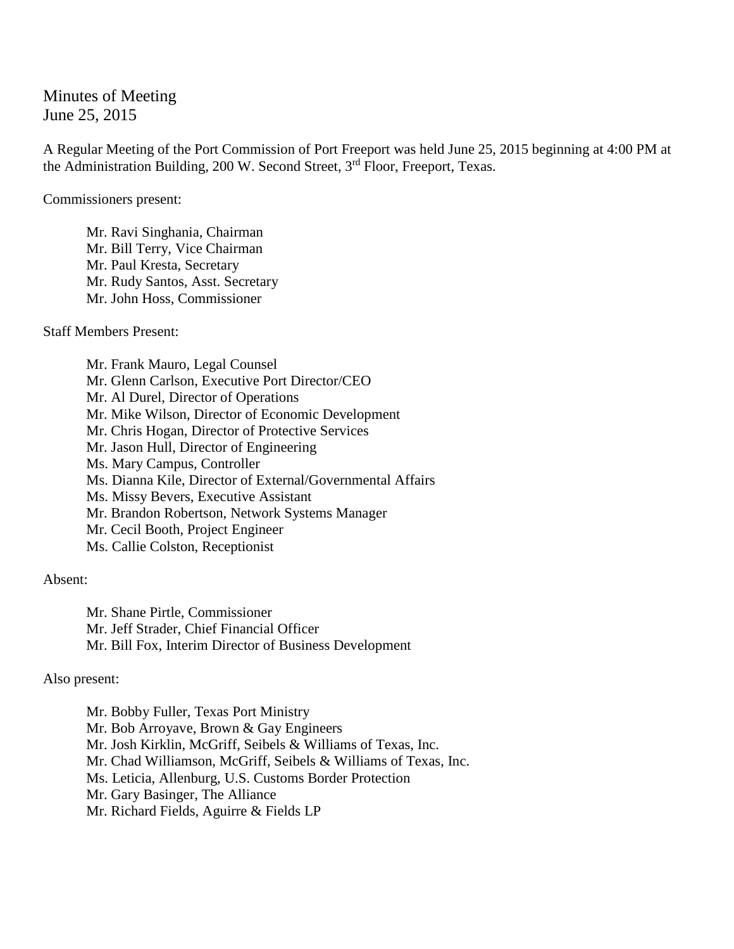Minutes of Meeting June 25, 2015

A Regular Meeting of the Port Commission of Port Freeport was held June 25, 2015 beginning at 4:00 PM at the Administration Building, 200 W. Second Street, 3<sup>rd</sup> Floor, Freeport, Texas.

Commissioners present:

Mr. Ravi Singhania, Chairman Mr. Bill Terry, Vice Chairman Mr. Paul Kresta, Secretary Mr. Rudy Santos, Asst. Secretary Mr. John Hoss, Commissioner

Staff Members Present:

Mr. Frank Mauro, Legal Counsel Mr. Glenn Carlson, Executive Port Director/CEO Mr. Al Durel, Director of Operations Mr. Mike Wilson, Director of Economic Development Mr. Chris Hogan, Director of Protective Services Mr. Jason Hull, Director of Engineering Ms. Mary Campus, Controller Ms. Dianna Kile, Director of External/Governmental Affairs Ms. Missy Bevers, Executive Assistant Mr. Brandon Robertson, Network Systems Manager Mr. Cecil Booth, Project Engineer Ms. Callie Colston, Receptionist

Absent:

Mr. Shane Pirtle, Commissioner Mr. Jeff Strader, Chief Financial Officer Mr. Bill Fox, Interim Director of Business Development

## Also present:

Mr. Bobby Fuller, Texas Port Ministry Mr. Bob Arroyave, Brown & Gay Engineers Mr. Josh Kirklin, McGriff, Seibels & Williams of Texas, Inc. Mr. Chad Williamson, McGriff, Seibels & Williams of Texas, Inc. Ms. Leticia, Allenburg, U.S. Customs Border Protection Mr. Gary Basinger, The Alliance Mr. Richard Fields, Aguirre & Fields LP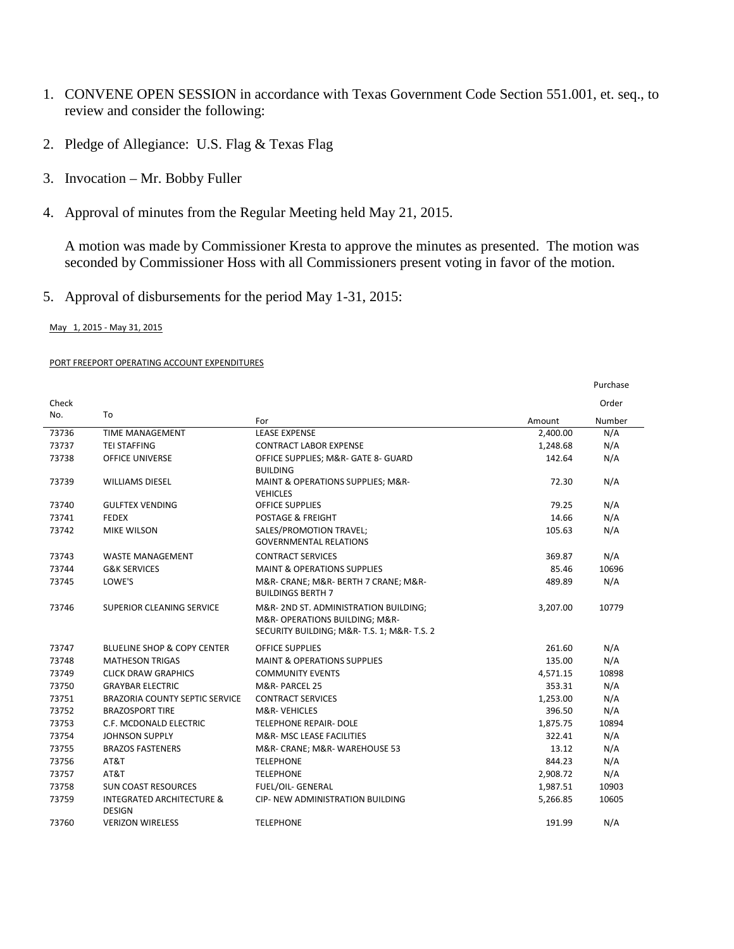- 1. CONVENE OPEN SESSION in accordance with Texas Government Code Section 551.001, et. seq., to review and consider the following:
- 2. Pledge of Allegiance: U.S. Flag & Texas Flag
- 3. Invocation Mr. Bobby Fuller
- 4. Approval of minutes from the Regular Meeting held May 21, 2015.

A motion was made by Commissioner Kresta to approve the minutes as presented. The motion was seconded by Commissioner Hoss with all Commissioners present voting in favor of the motion.

Purchase

5. Approval of disbursements for the period May 1-31, 2015:

May 1, 2015 - May 31, 2015

## PORT FREEPORT OPERATING ACCOUNT EXPENDITURES

| Check |                                                       |                                                                                                                     |          | Order  |
|-------|-------------------------------------------------------|---------------------------------------------------------------------------------------------------------------------|----------|--------|
| No.   | To                                                    | For                                                                                                                 | Amount   | Number |
| 73736 | <b>TIME MANAGEMENT</b>                                | <b>LEASE EXPENSE</b>                                                                                                | 2,400.00 | N/A    |
| 73737 | <b>TEI STAFFING</b>                                   | <b>CONTRACT LABOR EXPENSE</b>                                                                                       | 1,248.68 | N/A    |
| 73738 | <b>OFFICE UNIVERSE</b>                                | OFFICE SUPPLIES; M&R- GATE 8- GUARD<br><b>BUILDING</b>                                                              | 142.64   | N/A    |
| 73739 | <b>WILLIAMS DIESEL</b>                                | MAINT & OPERATIONS SUPPLIES; M&R-<br><b>VEHICLES</b>                                                                | 72.30    | N/A    |
| 73740 | <b>GULFTEX VENDING</b>                                | <b>OFFICE SUPPLIES</b>                                                                                              | 79.25    | N/A    |
| 73741 | <b>FEDEX</b>                                          | POSTAGE & FREIGHT                                                                                                   | 14.66    | N/A    |
| 73742 | <b>MIKE WILSON</b>                                    | SALES/PROMOTION TRAVEL;<br><b>GOVERNMENTAL RELATIONS</b>                                                            | 105.63   | N/A    |
| 73743 | <b>WASTE MANAGEMENT</b>                               | <b>CONTRACT SERVICES</b>                                                                                            | 369.87   | N/A    |
| 73744 | <b>G&amp;K SERVICES</b>                               | <b>MAINT &amp; OPERATIONS SUPPLIES</b>                                                                              | 85.46    | 10696  |
| 73745 | LOWE'S                                                | M&R- CRANE; M&R- BERTH 7 CRANE; M&R-<br><b>BUILDINGS BERTH 7</b>                                                    | 489.89   | N/A    |
| 73746 | <b>SUPERIOR CLEANING SERVICE</b>                      | M&R-2ND ST. ADMINISTRATION BUILDING;<br>M&R- OPERATIONS BUILDING; M&R-<br>SECURITY BUILDING; M&R-T.S. 1; M&R-T.S. 2 | 3,207.00 | 10779  |
| 73747 | <b>BLUELINE SHOP &amp; COPY CENTER</b>                | <b>OFFICE SUPPLIES</b>                                                                                              | 261.60   | N/A    |
| 73748 | <b>MATHESON TRIGAS</b>                                | <b>MAINT &amp; OPERATIONS SUPPLIES</b>                                                                              | 135.00   | N/A    |
| 73749 | <b>CLICK DRAW GRAPHICS</b>                            | <b>COMMUNITY EVENTS</b>                                                                                             | 4,571.15 | 10898  |
| 73750 | <b>GRAYBAR ELECTRIC</b>                               | M&R-PARCEL 25                                                                                                       | 353.31   | N/A    |
| 73751 | <b>BRAZORIA COUNTY SEPTIC SERVICE</b>                 | <b>CONTRACT SERVICES</b>                                                                                            | 1,253.00 | N/A    |
| 73752 | <b>BRAZOSPORT TIRE</b>                                | <b>M&amp;R-VEHICLES</b>                                                                                             | 396.50   | N/A    |
| 73753 | C.F. MCDONALD ELECTRIC                                | <b>TELEPHONE REPAIR- DOLE</b>                                                                                       | 1,875.75 | 10894  |
| 73754 | <b>JOHNSON SUPPLY</b>                                 | <b>M&amp;R- MSC LEASE FACILITIES</b>                                                                                | 322.41   | N/A    |
| 73755 | <b>BRAZOS FASTENERS</b>                               | M&R- CRANE; M&R- WAREHOUSE 53                                                                                       | 13.12    | N/A    |
| 73756 | AT&T                                                  | <b>TELEPHONE</b>                                                                                                    | 844.23   | N/A    |
| 73757 | AT&T                                                  | <b>TELEPHONE</b>                                                                                                    | 2,908.72 | N/A    |
| 73758 | <b>SUN COAST RESOURCES</b>                            | <b>FUEL/OIL- GENERAL</b>                                                                                            | 1,987.51 | 10903  |
| 73759 | <b>INTEGRATED ARCHITECTURE &amp;</b><br><b>DESIGN</b> | <b>CIP- NEW ADMINISTRATION BUILDING</b>                                                                             | 5,266.85 | 10605  |
| 73760 | <b>VERIZON WIRELESS</b>                               | <b>TELEPHONE</b>                                                                                                    | 191.99   | N/A    |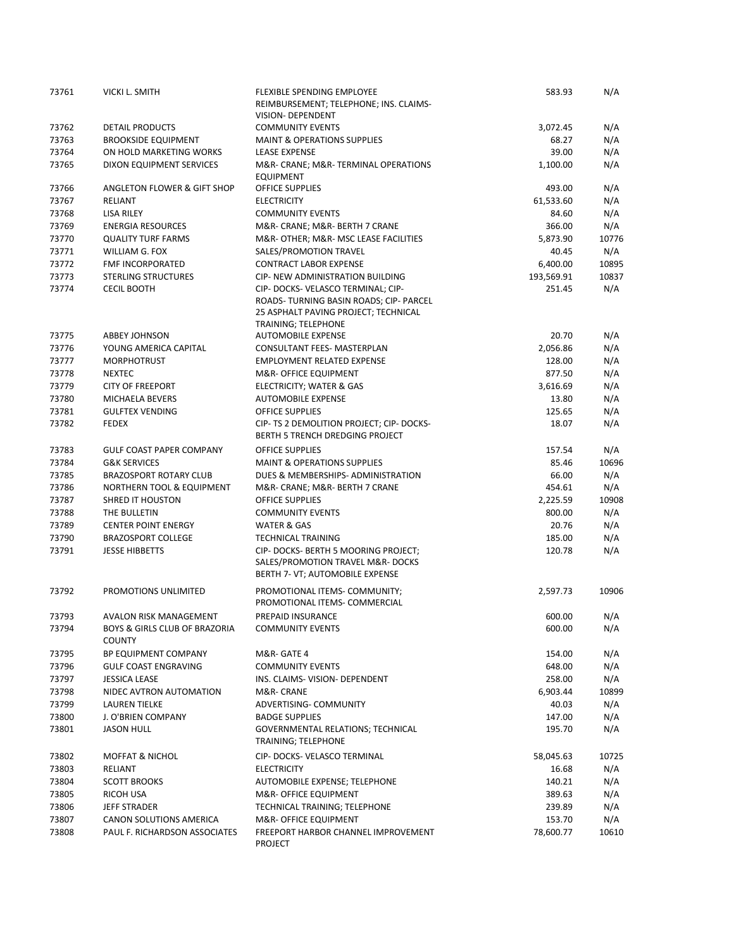| 73761 | VICKI L. SMITH                                 | <b>FLEXIBLE SPENDING EMPLOYEE</b><br>REIMBURSEMENT; TELEPHONE; INS. CLAIMS-<br>VISION- DEPENDENT                                                    | 583.93     | N/A   |
|-------|------------------------------------------------|-----------------------------------------------------------------------------------------------------------------------------------------------------|------------|-------|
| 73762 | DETAIL PRODUCTS                                | <b>COMMUNITY EVENTS</b>                                                                                                                             | 3,072.45   | N/A   |
| 73763 | <b>BROOKSIDE EQUIPMENT</b>                     | <b>MAINT &amp; OPERATIONS SUPPLIES</b>                                                                                                              | 68.27      | N/A   |
| 73764 | ON HOLD MARKETING WORKS                        | <b>LEASE EXPENSE</b>                                                                                                                                | 39.00      | N/A   |
| 73765 | <b>DIXON EQUIPMENT SERVICES</b>                | M&R- CRANE; M&R- TERMINAL OPERATIONS<br><b>EQUIPMENT</b>                                                                                            | 1,100.00   | N/A   |
| 73766 | ANGLETON FLOWER & GIFT SHOP                    | <b>OFFICE SUPPLIES</b>                                                                                                                              | 493.00     | N/A   |
| 73767 | RELIANT                                        | <b>ELECTRICITY</b>                                                                                                                                  | 61,533.60  | N/A   |
| 73768 | <b>LISA RILEY</b>                              | <b>COMMUNITY EVENTS</b>                                                                                                                             | 84.60      | N/A   |
| 73769 | <b>ENERGIA RESOURCES</b>                       | M&R- CRANE; M&R- BERTH 7 CRANE                                                                                                                      | 366.00     | N/A   |
| 73770 | <b>QUALITY TURF FARMS</b>                      | M&R-OTHER M&R- MSC LEASE FACILITIES                                                                                                                 | 5,873.90   | 10776 |
| 73771 | WILLIAM G. FOX                                 | SALES/PROMOTION TRAVEL                                                                                                                              | 40.45      | N/A   |
| 73772 | FMF INCORPORATED                               | <b>CONTRACT LABOR EXPENSE</b>                                                                                                                       | 6,400.00   | 10895 |
| 73773 | <b>STERLING STRUCTURES</b>                     | CIP- NEW ADMINISTRATION BUILDING                                                                                                                    | 193,569.91 | 10837 |
| 73774 | <b>CECIL BOOTH</b>                             | CIP- DOCKS- VELASCO TERMINAL; CIP-<br>ROADS- TURNING BASIN ROADS; CIP- PARCEL<br>25 ASPHALT PAVING PROJECT; TECHNICAL<br><b>TRAINING; TELEPHONE</b> | 251.45     | N/A   |
| 73775 | <b>ABBEY JOHNSON</b>                           | <b>AUTOMOBILE EXPENSE</b>                                                                                                                           | 20.70      | N/A   |
| 73776 | YOUNG AMERICA CAPITAL                          | CONSULTANT FEES- MASTERPLAN                                                                                                                         | 2,056.86   | N/A   |
| 73777 | <b>MORPHOTRUST</b>                             | EMPLOYMENT RELATED EXPENSE                                                                                                                          | 128.00     | N/A   |
| 73778 | <b>NEXTEC</b>                                  | M&R- OFFICE EQUIPMENT                                                                                                                               | 877.50     | N/A   |
| 73779 | <b>CITY OF FREEPORT</b>                        | ELECTRICITY; WATER & GAS                                                                                                                            | 3,616.69   | N/A   |
| 73780 | MICHAELA BEVERS                                | <b>AUTOMOBILE EXPENSE</b>                                                                                                                           | 13.80      | N/A   |
| 73781 | <b>GULFTEX VENDING</b>                         | <b>OFFICE SUPPLIES</b>                                                                                                                              | 125.65     | N/A   |
| 73782 | <b>FEDEX</b>                                   | CIP- TS 2 DEMOLITION PROJECT; CIP- DOCKS-<br>BERTH 5 TRENCH DREDGING PROJECT                                                                        | 18.07      | N/A   |
| 73783 | <b>GULF COAST PAPER COMPANY</b>                | <b>OFFICE SUPPLIES</b>                                                                                                                              | 157.54     | N/A   |
| 73784 | <b>G&amp;K SERVICES</b>                        | <b>MAINT &amp; OPERATIONS SUPPLIES</b>                                                                                                              | 85.46      | 10696 |
| 73785 | <b>BRAZOSPORT ROTARY CLUB</b>                  | DUES & MEMBERSHIPS- ADMINISTRATION                                                                                                                  | 66.00      | N/A   |
| 73786 | NORTHERN TOOL & EQUIPMENT                      | M&R- CRANE; M&R- BERTH 7 CRANE                                                                                                                      | 454.61     | N/A   |
| 73787 | <b>SHRED IT HOUSTON</b>                        | <b>OFFICE SUPPLIES</b>                                                                                                                              | 2,225.59   | 10908 |
| 73788 | THE BULLETIN                                   | <b>COMMUNITY EVENTS</b>                                                                                                                             | 800.00     | N/A   |
| 73789 | <b>CENTER POINT ENERGY</b>                     | <b>WATER &amp; GAS</b>                                                                                                                              | 20.76      | N/A   |
| 73790 | <b>BRAZOSPORT COLLEGE</b>                      | <b>TECHNICAL TRAINING</b>                                                                                                                           | 185.00     | N/A   |
| 73791 | <b>JESSE HIBBETTS</b>                          | CIP- DOCKS- BERTH 5 MOORING PROJECT;<br>SALES/PROMOTION TRAVEL M&R-DOCKS<br>BERTH 7- VT; AUTOMOBILE EXPENSE                                         | 120.78     | N/A   |
| 73792 | PROMOTIONS UNLIMITED                           | PROMOTIONAL ITEMS- COMMUNITY;<br>PROMOTIONAL ITEMS- COMMERCIAL                                                                                      | 2,597.73   | 10906 |
| 73793 | AVALON RISK MANAGEMENT                         | PREPAID INSURANCE                                                                                                                                   | 600.00     | N/A   |
| 73794 | BOYS & GIRLS CLUB OF BRAZORIA<br><b>COUNTY</b> | <b>COMMUNITY EVENTS</b>                                                                                                                             | 600.00     | N/A   |
| 73795 | BP EQUIPMENT COMPANY                           | M&R- GATE 4                                                                                                                                         | 154.00     | N/A   |
| 73796 | <b>GULF COAST ENGRAVING</b>                    | <b>COMMUNITY EVENTS</b>                                                                                                                             | 648.00     | N/A   |
| 73797 | <b>JESSICA LEASE</b>                           | INS. CLAIMS- VISION- DEPENDENT                                                                                                                      | 258.00     | N/A   |
| 73798 | NIDEC AVTRON AUTOMATION                        | M&R- CRANE                                                                                                                                          | 6,903.44   | 10899 |
| 73799 | LAUREN TIELKE                                  | ADVERTISING- COMMUNITY                                                                                                                              | 40.03      | N/A   |
| 73800 | J. O'BRIEN COMPANY                             | <b>BADGE SUPPLIES</b>                                                                                                                               | 147.00     | N/A   |
| 73801 | <b>JASON HULL</b>                              | GOVERNMENTAL RELATIONS; TECHNICAL<br>TRAINING; TELEPHONE                                                                                            | 195.70     | N/A   |
| 73802 | <b>MOFFAT &amp; NICHOL</b>                     | CIP- DOCKS- VELASCO TERMINAL                                                                                                                        | 58,045.63  | 10725 |
| 73803 | RELIANT                                        | <b>ELECTRICITY</b>                                                                                                                                  | 16.68      | N/A   |
| 73804 | <b>SCOTT BROOKS</b>                            | AUTOMOBILE EXPENSE; TELEPHONE                                                                                                                       | 140.21     | N/A   |
| 73805 | RICOH USA                                      | M&R- OFFICE EQUIPMENT                                                                                                                               | 389.63     | N/A   |
| 73806 | <b>JEFF STRADER</b>                            | TECHNICAL TRAINING; TELEPHONE                                                                                                                       | 239.89     | N/A   |
| 73807 | CANON SOLUTIONS AMERICA                        | M&R- OFFICE EQUIPMENT                                                                                                                               | 153.70     | N/A   |
| 73808 | PAUL F. RICHARDSON ASSOCIATES                  | FREEPORT HARBOR CHANNEL IMPROVEMENT<br><b>PROJECT</b>                                                                                               | 78,600.77  | 10610 |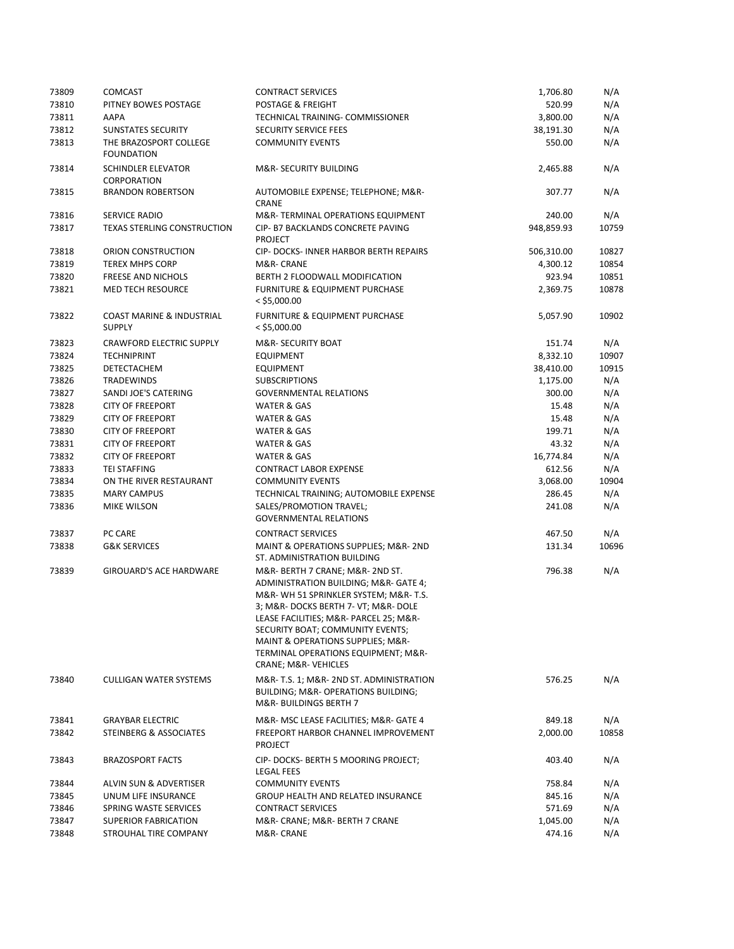| 73810<br>520.99<br>N/A<br>PITNEY BOWES POSTAGE<br><b>POSTAGE &amp; FREIGHT</b><br>N/A<br>73811<br>AAPA<br>TECHNICAL TRAINING- COMMISSIONER<br>3,800.00<br>73812<br>N/A<br>SUNSTATES SECURITY<br><b>SECURITY SERVICE FEES</b><br>38,191.30<br>N/A<br>73813<br>THE BRAZOSPORT COLLEGE<br><b>COMMUNITY EVENTS</b><br>550.00<br><b>FOUNDATION</b><br><b>SCHINDLER ELEVATOR</b><br>N/A<br>73814<br>M&R-SECURITY BUILDING<br>2,465.88<br>CORPORATION<br>N/A<br>73815<br><b>BRANDON ROBERTSON</b><br>AUTOMOBILE EXPENSE; TELEPHONE; M&R-<br>307.77<br>CRANE<br>M&R-TERMINAL OPERATIONS EQUIPMENT<br>240.00<br>N/A<br>73816<br>SERVICE RADIO<br>73817<br><b>TEXAS STERLING CONSTRUCTION</b><br>CIP- B7 BACKLANDS CONCRETE PAVING<br>948,859.93<br>10759<br><b>PROJECT</b><br>73818<br>ORION CONSTRUCTION<br>CIP- DOCKS- INNER HARBOR BERTH REPAIRS<br>506,310.00<br>10827<br>73819<br>M&R-CRANE<br>10854<br><b>TEREX MHPS CORP</b><br>4,300.12<br>73820<br>BERTH 2 FLOODWALL MODIFICATION<br>923.94<br>10851<br><b>FREESE AND NICHOLS</b><br>73821<br><b>MED TECH RESOURCE</b><br>FURNITURE & EQUIPMENT PURCHASE<br>10878<br>2,369.75<br>$<$ \$5,000.00<br>73822<br>COAST MARINE & INDUSTRIAL<br>FURNITURE & EQUIPMENT PURCHASE<br>5,057.90<br>10902<br><b>SUPPLY</b><br>$<$ \$5,000.00<br>73823<br><b>CRAWFORD ELECTRIC SUPPLY</b><br><b>M&amp;R- SECURITY BOAT</b><br>151.74<br>N/A<br>73824<br><b>TECHNIPRINT</b><br>8,332.10<br>10907<br><b>EQUIPMENT</b><br>73825<br>10915<br>DETECTACHEM<br><b>EQUIPMENT</b><br>38,410.00<br>73826<br>1,175.00<br>N/A<br><b>TRADEWINDS</b><br><b>SUBSCRIPTIONS</b><br>73827<br>SANDI JOE'S CATERING<br><b>GOVERNMENTAL RELATIONS</b><br>300.00<br>N/A<br>73828<br><b>CITY OF FREEPORT</b><br>15.48<br>N/A<br>WATER & GAS<br>73829<br>N/A<br><b>CITY OF FREEPORT</b><br><b>WATER &amp; GAS</b><br>15.48<br>73830<br>199.71<br>N/A<br><b>CITY OF FREEPORT</b><br>WATER & GAS<br>73831<br>43.32<br>N/A<br><b>CITY OF FREEPORT</b><br>WATER & GAS<br>73832<br><b>CITY OF FREEPORT</b><br>16,774.84<br>N/A<br>WATER & GAS<br>73833<br>N/A<br><b>TEI STAFFING</b><br><b>CONTRACT LABOR EXPENSE</b><br>612.56<br>73834<br>ON THE RIVER RESTAURANT<br><b>COMMUNITY EVENTS</b><br>3,068.00<br>10904<br>73835<br>286.45<br>N/A<br><b>MARY CAMPUS</b><br>TECHNICAL TRAINING; AUTOMOBILE EXPENSE<br>73836<br>SALES/PROMOTION TRAVEL;<br>MIKE WILSON<br>241.08<br>N/A<br><b>GOVERNMENTAL RELATIONS</b><br>73837<br>PC CARE<br><b>CONTRACT SERVICES</b><br>467.50<br>N/A<br>73838<br><b>G&amp;K SERVICES</b><br>MAINT & OPERATIONS SUPPLIES; M&R- 2ND<br>131.34<br>10696<br>ST. ADMINISTRATION BUILDING<br>M&R- BERTH 7 CRANE; M&R- 2ND ST.<br>N/A<br>73839<br><b>GIROUARD'S ACE HARDWARE</b><br>796.38<br>ADMINISTRATION BUILDING; M&R- GATE 4;<br>M&R-WH 51 SPRINKLER SYSTEM; M&R-T.S.<br>3; M&R- DOCKS BERTH 7- VT; M&R- DOLE<br>LEASE FACILITIES; M&R- PARCEL 25; M&R-<br>SECURITY BOAT; COMMUNITY EVENTS;<br>MAINT & OPERATIONS SUPPLIES; M&R-<br>TERMINAL OPERATIONS EQUIPMENT; M&R-<br>CRANE; M&R-VEHICLES<br>73840<br><b>CULLIGAN WATER SYSTEMS</b><br>M&R- T.S. 1; M&R- 2ND ST. ADMINISTRATION<br>576.25<br>N/A<br>BUILDING; M&R- OPERATIONS BUILDING;<br>M&R-BUILDINGS BERTH 7<br>73841<br><b>GRAYBAR ELECTRIC</b><br>M&R- MSC LEASE FACILITIES; M&R- GATE 4<br>849.18<br>N/A<br>73842<br>STEINBERG & ASSOCIATES<br>FREEPORT HARBOR CHANNEL IMPROVEMENT<br>2,000.00<br>10858<br><b>PROJECT</b><br>CIP- DOCKS- BERTH 5 MOORING PROJECT;<br>73843<br><b>BRAZOSPORT FACTS</b><br>403.40<br>N/A<br><b>LEGAL FEES</b><br>73844<br>ALVIN SUN & ADVERTISER<br><b>COMMUNITY EVENTS</b><br>758.84<br>N/A<br>73845<br>UNUM LIFE INSURANCE<br>GROUP HEALTH AND RELATED INSURANCE<br>845.16<br>N/A<br>73846<br>SPRING WASTE SERVICES<br><b>CONTRACT SERVICES</b><br>571.69<br>N/A<br>73847<br><b>SUPERIOR FABRICATION</b><br>M&R- CRANE; M&R- BERTH 7 CRANE<br>1,045.00<br>N/A<br>73848<br>STROUHAL TIRE COMPANY<br>M&R- CRANE<br>474.16<br>N/A | 73809 | COMCAST | <b>CONTRACT SERVICES</b> | 1,706.80 | N/A |
|---------------------------------------------------------------------------------------------------------------------------------------------------------------------------------------------------------------------------------------------------------------------------------------------------------------------------------------------------------------------------------------------------------------------------------------------------------------------------------------------------------------------------------------------------------------------------------------------------------------------------------------------------------------------------------------------------------------------------------------------------------------------------------------------------------------------------------------------------------------------------------------------------------------------------------------------------------------------------------------------------------------------------------------------------------------------------------------------------------------------------------------------------------------------------------------------------------------------------------------------------------------------------------------------------------------------------------------------------------------------------------------------------------------------------------------------------------------------------------------------------------------------------------------------------------------------------------------------------------------------------------------------------------------------------------------------------------------------------------------------------------------------------------------------------------------------------------------------------------------------------------------------------------------------------------------------------------------------------------------------------------------------------------------------------------------------------------------------------------------------------------------------------------------------------------------------------------------------------------------------------------------------------------------------------------------------------------------------------------------------------------------------------------------------------------------------------------------------------------------------------------------------------------------------------------------------------------------------------------------------------------------------------------------------------------------------------------------------------------------------------------------------------------------------------------------------------------------------------------------------------------------------------------------------------------------------------------------------------------------------------------------------------------------------------------------------------------------------------------------------------------------------------------------------------------------------------------------------------------------------------------------------------------------------------------------------------------------------------------------------------------------------------------------------------------------------------------------------------------------------------------------------------------------------------------------------------------------------------------------------------------------------------------------------------------------------------------------------------------------------------------------------------------------------------------------------------------------------------------------------------------------------------------------------------------------------------------------|-------|---------|--------------------------|----------|-----|
|                                                                                                                                                                                                                                                                                                                                                                                                                                                                                                                                                                                                                                                                                                                                                                                                                                                                                                                                                                                                                                                                                                                                                                                                                                                                                                                                                                                                                                                                                                                                                                                                                                                                                                                                                                                                                                                                                                                                                                                                                                                                                                                                                                                                                                                                                                                                                                                                                                                                                                                                                                                                                                                                                                                                                                                                                                                                                                                                                                                                                                                                                                                                                                                                                                                                                                                                                                                                                                                                                                                                                                                                                                                                                                                                                                                                                                                                                                                                                               |       |         |                          |          |     |
|                                                                                                                                                                                                                                                                                                                                                                                                                                                                                                                                                                                                                                                                                                                                                                                                                                                                                                                                                                                                                                                                                                                                                                                                                                                                                                                                                                                                                                                                                                                                                                                                                                                                                                                                                                                                                                                                                                                                                                                                                                                                                                                                                                                                                                                                                                                                                                                                                                                                                                                                                                                                                                                                                                                                                                                                                                                                                                                                                                                                                                                                                                                                                                                                                                                                                                                                                                                                                                                                                                                                                                                                                                                                                                                                                                                                                                                                                                                                                               |       |         |                          |          |     |
|                                                                                                                                                                                                                                                                                                                                                                                                                                                                                                                                                                                                                                                                                                                                                                                                                                                                                                                                                                                                                                                                                                                                                                                                                                                                                                                                                                                                                                                                                                                                                                                                                                                                                                                                                                                                                                                                                                                                                                                                                                                                                                                                                                                                                                                                                                                                                                                                                                                                                                                                                                                                                                                                                                                                                                                                                                                                                                                                                                                                                                                                                                                                                                                                                                                                                                                                                                                                                                                                                                                                                                                                                                                                                                                                                                                                                                                                                                                                                               |       |         |                          |          |     |
|                                                                                                                                                                                                                                                                                                                                                                                                                                                                                                                                                                                                                                                                                                                                                                                                                                                                                                                                                                                                                                                                                                                                                                                                                                                                                                                                                                                                                                                                                                                                                                                                                                                                                                                                                                                                                                                                                                                                                                                                                                                                                                                                                                                                                                                                                                                                                                                                                                                                                                                                                                                                                                                                                                                                                                                                                                                                                                                                                                                                                                                                                                                                                                                                                                                                                                                                                                                                                                                                                                                                                                                                                                                                                                                                                                                                                                                                                                                                                               |       |         |                          |          |     |
|                                                                                                                                                                                                                                                                                                                                                                                                                                                                                                                                                                                                                                                                                                                                                                                                                                                                                                                                                                                                                                                                                                                                                                                                                                                                                                                                                                                                                                                                                                                                                                                                                                                                                                                                                                                                                                                                                                                                                                                                                                                                                                                                                                                                                                                                                                                                                                                                                                                                                                                                                                                                                                                                                                                                                                                                                                                                                                                                                                                                                                                                                                                                                                                                                                                                                                                                                                                                                                                                                                                                                                                                                                                                                                                                                                                                                                                                                                                                                               |       |         |                          |          |     |
|                                                                                                                                                                                                                                                                                                                                                                                                                                                                                                                                                                                                                                                                                                                                                                                                                                                                                                                                                                                                                                                                                                                                                                                                                                                                                                                                                                                                                                                                                                                                                                                                                                                                                                                                                                                                                                                                                                                                                                                                                                                                                                                                                                                                                                                                                                                                                                                                                                                                                                                                                                                                                                                                                                                                                                                                                                                                                                                                                                                                                                                                                                                                                                                                                                                                                                                                                                                                                                                                                                                                                                                                                                                                                                                                                                                                                                                                                                                                                               |       |         |                          |          |     |
|                                                                                                                                                                                                                                                                                                                                                                                                                                                                                                                                                                                                                                                                                                                                                                                                                                                                                                                                                                                                                                                                                                                                                                                                                                                                                                                                                                                                                                                                                                                                                                                                                                                                                                                                                                                                                                                                                                                                                                                                                                                                                                                                                                                                                                                                                                                                                                                                                                                                                                                                                                                                                                                                                                                                                                                                                                                                                                                                                                                                                                                                                                                                                                                                                                                                                                                                                                                                                                                                                                                                                                                                                                                                                                                                                                                                                                                                                                                                                               |       |         |                          |          |     |
|                                                                                                                                                                                                                                                                                                                                                                                                                                                                                                                                                                                                                                                                                                                                                                                                                                                                                                                                                                                                                                                                                                                                                                                                                                                                                                                                                                                                                                                                                                                                                                                                                                                                                                                                                                                                                                                                                                                                                                                                                                                                                                                                                                                                                                                                                                                                                                                                                                                                                                                                                                                                                                                                                                                                                                                                                                                                                                                                                                                                                                                                                                                                                                                                                                                                                                                                                                                                                                                                                                                                                                                                                                                                                                                                                                                                                                                                                                                                                               |       |         |                          |          |     |
|                                                                                                                                                                                                                                                                                                                                                                                                                                                                                                                                                                                                                                                                                                                                                                                                                                                                                                                                                                                                                                                                                                                                                                                                                                                                                                                                                                                                                                                                                                                                                                                                                                                                                                                                                                                                                                                                                                                                                                                                                                                                                                                                                                                                                                                                                                                                                                                                                                                                                                                                                                                                                                                                                                                                                                                                                                                                                                                                                                                                                                                                                                                                                                                                                                                                                                                                                                                                                                                                                                                                                                                                                                                                                                                                                                                                                                                                                                                                                               |       |         |                          |          |     |
|                                                                                                                                                                                                                                                                                                                                                                                                                                                                                                                                                                                                                                                                                                                                                                                                                                                                                                                                                                                                                                                                                                                                                                                                                                                                                                                                                                                                                                                                                                                                                                                                                                                                                                                                                                                                                                                                                                                                                                                                                                                                                                                                                                                                                                                                                                                                                                                                                                                                                                                                                                                                                                                                                                                                                                                                                                                                                                                                                                                                                                                                                                                                                                                                                                                                                                                                                                                                                                                                                                                                                                                                                                                                                                                                                                                                                                                                                                                                                               |       |         |                          |          |     |
|                                                                                                                                                                                                                                                                                                                                                                                                                                                                                                                                                                                                                                                                                                                                                                                                                                                                                                                                                                                                                                                                                                                                                                                                                                                                                                                                                                                                                                                                                                                                                                                                                                                                                                                                                                                                                                                                                                                                                                                                                                                                                                                                                                                                                                                                                                                                                                                                                                                                                                                                                                                                                                                                                                                                                                                                                                                                                                                                                                                                                                                                                                                                                                                                                                                                                                                                                                                                                                                                                                                                                                                                                                                                                                                                                                                                                                                                                                                                                               |       |         |                          |          |     |
|                                                                                                                                                                                                                                                                                                                                                                                                                                                                                                                                                                                                                                                                                                                                                                                                                                                                                                                                                                                                                                                                                                                                                                                                                                                                                                                                                                                                                                                                                                                                                                                                                                                                                                                                                                                                                                                                                                                                                                                                                                                                                                                                                                                                                                                                                                                                                                                                                                                                                                                                                                                                                                                                                                                                                                                                                                                                                                                                                                                                                                                                                                                                                                                                                                                                                                                                                                                                                                                                                                                                                                                                                                                                                                                                                                                                                                                                                                                                                               |       |         |                          |          |     |
|                                                                                                                                                                                                                                                                                                                                                                                                                                                                                                                                                                                                                                                                                                                                                                                                                                                                                                                                                                                                                                                                                                                                                                                                                                                                                                                                                                                                                                                                                                                                                                                                                                                                                                                                                                                                                                                                                                                                                                                                                                                                                                                                                                                                                                                                                                                                                                                                                                                                                                                                                                                                                                                                                                                                                                                                                                                                                                                                                                                                                                                                                                                                                                                                                                                                                                                                                                                                                                                                                                                                                                                                                                                                                                                                                                                                                                                                                                                                                               |       |         |                          |          |     |
|                                                                                                                                                                                                                                                                                                                                                                                                                                                                                                                                                                                                                                                                                                                                                                                                                                                                                                                                                                                                                                                                                                                                                                                                                                                                                                                                                                                                                                                                                                                                                                                                                                                                                                                                                                                                                                                                                                                                                                                                                                                                                                                                                                                                                                                                                                                                                                                                                                                                                                                                                                                                                                                                                                                                                                                                                                                                                                                                                                                                                                                                                                                                                                                                                                                                                                                                                                                                                                                                                                                                                                                                                                                                                                                                                                                                                                                                                                                                                               |       |         |                          |          |     |
|                                                                                                                                                                                                                                                                                                                                                                                                                                                                                                                                                                                                                                                                                                                                                                                                                                                                                                                                                                                                                                                                                                                                                                                                                                                                                                                                                                                                                                                                                                                                                                                                                                                                                                                                                                                                                                                                                                                                                                                                                                                                                                                                                                                                                                                                                                                                                                                                                                                                                                                                                                                                                                                                                                                                                                                                                                                                                                                                                                                                                                                                                                                                                                                                                                                                                                                                                                                                                                                                                                                                                                                                                                                                                                                                                                                                                                                                                                                                                               |       |         |                          |          |     |
|                                                                                                                                                                                                                                                                                                                                                                                                                                                                                                                                                                                                                                                                                                                                                                                                                                                                                                                                                                                                                                                                                                                                                                                                                                                                                                                                                                                                                                                                                                                                                                                                                                                                                                                                                                                                                                                                                                                                                                                                                                                                                                                                                                                                                                                                                                                                                                                                                                                                                                                                                                                                                                                                                                                                                                                                                                                                                                                                                                                                                                                                                                                                                                                                                                                                                                                                                                                                                                                                                                                                                                                                                                                                                                                                                                                                                                                                                                                                                               |       |         |                          |          |     |
|                                                                                                                                                                                                                                                                                                                                                                                                                                                                                                                                                                                                                                                                                                                                                                                                                                                                                                                                                                                                                                                                                                                                                                                                                                                                                                                                                                                                                                                                                                                                                                                                                                                                                                                                                                                                                                                                                                                                                                                                                                                                                                                                                                                                                                                                                                                                                                                                                                                                                                                                                                                                                                                                                                                                                                                                                                                                                                                                                                                                                                                                                                                                                                                                                                                                                                                                                                                                                                                                                                                                                                                                                                                                                                                                                                                                                                                                                                                                                               |       |         |                          |          |     |
|                                                                                                                                                                                                                                                                                                                                                                                                                                                                                                                                                                                                                                                                                                                                                                                                                                                                                                                                                                                                                                                                                                                                                                                                                                                                                                                                                                                                                                                                                                                                                                                                                                                                                                                                                                                                                                                                                                                                                                                                                                                                                                                                                                                                                                                                                                                                                                                                                                                                                                                                                                                                                                                                                                                                                                                                                                                                                                                                                                                                                                                                                                                                                                                                                                                                                                                                                                                                                                                                                                                                                                                                                                                                                                                                                                                                                                                                                                                                                               |       |         |                          |          |     |
|                                                                                                                                                                                                                                                                                                                                                                                                                                                                                                                                                                                                                                                                                                                                                                                                                                                                                                                                                                                                                                                                                                                                                                                                                                                                                                                                                                                                                                                                                                                                                                                                                                                                                                                                                                                                                                                                                                                                                                                                                                                                                                                                                                                                                                                                                                                                                                                                                                                                                                                                                                                                                                                                                                                                                                                                                                                                                                                                                                                                                                                                                                                                                                                                                                                                                                                                                                                                                                                                                                                                                                                                                                                                                                                                                                                                                                                                                                                                                               |       |         |                          |          |     |
|                                                                                                                                                                                                                                                                                                                                                                                                                                                                                                                                                                                                                                                                                                                                                                                                                                                                                                                                                                                                                                                                                                                                                                                                                                                                                                                                                                                                                                                                                                                                                                                                                                                                                                                                                                                                                                                                                                                                                                                                                                                                                                                                                                                                                                                                                                                                                                                                                                                                                                                                                                                                                                                                                                                                                                                                                                                                                                                                                                                                                                                                                                                                                                                                                                                                                                                                                                                                                                                                                                                                                                                                                                                                                                                                                                                                                                                                                                                                                               |       |         |                          |          |     |
|                                                                                                                                                                                                                                                                                                                                                                                                                                                                                                                                                                                                                                                                                                                                                                                                                                                                                                                                                                                                                                                                                                                                                                                                                                                                                                                                                                                                                                                                                                                                                                                                                                                                                                                                                                                                                                                                                                                                                                                                                                                                                                                                                                                                                                                                                                                                                                                                                                                                                                                                                                                                                                                                                                                                                                                                                                                                                                                                                                                                                                                                                                                                                                                                                                                                                                                                                                                                                                                                                                                                                                                                                                                                                                                                                                                                                                                                                                                                                               |       |         |                          |          |     |
|                                                                                                                                                                                                                                                                                                                                                                                                                                                                                                                                                                                                                                                                                                                                                                                                                                                                                                                                                                                                                                                                                                                                                                                                                                                                                                                                                                                                                                                                                                                                                                                                                                                                                                                                                                                                                                                                                                                                                                                                                                                                                                                                                                                                                                                                                                                                                                                                                                                                                                                                                                                                                                                                                                                                                                                                                                                                                                                                                                                                                                                                                                                                                                                                                                                                                                                                                                                                                                                                                                                                                                                                                                                                                                                                                                                                                                                                                                                                                               |       |         |                          |          |     |
|                                                                                                                                                                                                                                                                                                                                                                                                                                                                                                                                                                                                                                                                                                                                                                                                                                                                                                                                                                                                                                                                                                                                                                                                                                                                                                                                                                                                                                                                                                                                                                                                                                                                                                                                                                                                                                                                                                                                                                                                                                                                                                                                                                                                                                                                                                                                                                                                                                                                                                                                                                                                                                                                                                                                                                                                                                                                                                                                                                                                                                                                                                                                                                                                                                                                                                                                                                                                                                                                                                                                                                                                                                                                                                                                                                                                                                                                                                                                                               |       |         |                          |          |     |
|                                                                                                                                                                                                                                                                                                                                                                                                                                                                                                                                                                                                                                                                                                                                                                                                                                                                                                                                                                                                                                                                                                                                                                                                                                                                                                                                                                                                                                                                                                                                                                                                                                                                                                                                                                                                                                                                                                                                                                                                                                                                                                                                                                                                                                                                                                                                                                                                                                                                                                                                                                                                                                                                                                                                                                                                                                                                                                                                                                                                                                                                                                                                                                                                                                                                                                                                                                                                                                                                                                                                                                                                                                                                                                                                                                                                                                                                                                                                                               |       |         |                          |          |     |
|                                                                                                                                                                                                                                                                                                                                                                                                                                                                                                                                                                                                                                                                                                                                                                                                                                                                                                                                                                                                                                                                                                                                                                                                                                                                                                                                                                                                                                                                                                                                                                                                                                                                                                                                                                                                                                                                                                                                                                                                                                                                                                                                                                                                                                                                                                                                                                                                                                                                                                                                                                                                                                                                                                                                                                                                                                                                                                                                                                                                                                                                                                                                                                                                                                                                                                                                                                                                                                                                                                                                                                                                                                                                                                                                                                                                                                                                                                                                                               |       |         |                          |          |     |
|                                                                                                                                                                                                                                                                                                                                                                                                                                                                                                                                                                                                                                                                                                                                                                                                                                                                                                                                                                                                                                                                                                                                                                                                                                                                                                                                                                                                                                                                                                                                                                                                                                                                                                                                                                                                                                                                                                                                                                                                                                                                                                                                                                                                                                                                                                                                                                                                                                                                                                                                                                                                                                                                                                                                                                                                                                                                                                                                                                                                                                                                                                                                                                                                                                                                                                                                                                                                                                                                                                                                                                                                                                                                                                                                                                                                                                                                                                                                                               |       |         |                          |          |     |
|                                                                                                                                                                                                                                                                                                                                                                                                                                                                                                                                                                                                                                                                                                                                                                                                                                                                                                                                                                                                                                                                                                                                                                                                                                                                                                                                                                                                                                                                                                                                                                                                                                                                                                                                                                                                                                                                                                                                                                                                                                                                                                                                                                                                                                                                                                                                                                                                                                                                                                                                                                                                                                                                                                                                                                                                                                                                                                                                                                                                                                                                                                                                                                                                                                                                                                                                                                                                                                                                                                                                                                                                                                                                                                                                                                                                                                                                                                                                                               |       |         |                          |          |     |
|                                                                                                                                                                                                                                                                                                                                                                                                                                                                                                                                                                                                                                                                                                                                                                                                                                                                                                                                                                                                                                                                                                                                                                                                                                                                                                                                                                                                                                                                                                                                                                                                                                                                                                                                                                                                                                                                                                                                                                                                                                                                                                                                                                                                                                                                                                                                                                                                                                                                                                                                                                                                                                                                                                                                                                                                                                                                                                                                                                                                                                                                                                                                                                                                                                                                                                                                                                                                                                                                                                                                                                                                                                                                                                                                                                                                                                                                                                                                                               |       |         |                          |          |     |
|                                                                                                                                                                                                                                                                                                                                                                                                                                                                                                                                                                                                                                                                                                                                                                                                                                                                                                                                                                                                                                                                                                                                                                                                                                                                                                                                                                                                                                                                                                                                                                                                                                                                                                                                                                                                                                                                                                                                                                                                                                                                                                                                                                                                                                                                                                                                                                                                                                                                                                                                                                                                                                                                                                                                                                                                                                                                                                                                                                                                                                                                                                                                                                                                                                                                                                                                                                                                                                                                                                                                                                                                                                                                                                                                                                                                                                                                                                                                                               |       |         |                          |          |     |
|                                                                                                                                                                                                                                                                                                                                                                                                                                                                                                                                                                                                                                                                                                                                                                                                                                                                                                                                                                                                                                                                                                                                                                                                                                                                                                                                                                                                                                                                                                                                                                                                                                                                                                                                                                                                                                                                                                                                                                                                                                                                                                                                                                                                                                                                                                                                                                                                                                                                                                                                                                                                                                                                                                                                                                                                                                                                                                                                                                                                                                                                                                                                                                                                                                                                                                                                                                                                                                                                                                                                                                                                                                                                                                                                                                                                                                                                                                                                                               |       |         |                          |          |     |
|                                                                                                                                                                                                                                                                                                                                                                                                                                                                                                                                                                                                                                                                                                                                                                                                                                                                                                                                                                                                                                                                                                                                                                                                                                                                                                                                                                                                                                                                                                                                                                                                                                                                                                                                                                                                                                                                                                                                                                                                                                                                                                                                                                                                                                                                                                                                                                                                                                                                                                                                                                                                                                                                                                                                                                                                                                                                                                                                                                                                                                                                                                                                                                                                                                                                                                                                                                                                                                                                                                                                                                                                                                                                                                                                                                                                                                                                                                                                                               |       |         |                          |          |     |
|                                                                                                                                                                                                                                                                                                                                                                                                                                                                                                                                                                                                                                                                                                                                                                                                                                                                                                                                                                                                                                                                                                                                                                                                                                                                                                                                                                                                                                                                                                                                                                                                                                                                                                                                                                                                                                                                                                                                                                                                                                                                                                                                                                                                                                                                                                                                                                                                                                                                                                                                                                                                                                                                                                                                                                                                                                                                                                                                                                                                                                                                                                                                                                                                                                                                                                                                                                                                                                                                                                                                                                                                                                                                                                                                                                                                                                                                                                                                                               |       |         |                          |          |     |
|                                                                                                                                                                                                                                                                                                                                                                                                                                                                                                                                                                                                                                                                                                                                                                                                                                                                                                                                                                                                                                                                                                                                                                                                                                                                                                                                                                                                                                                                                                                                                                                                                                                                                                                                                                                                                                                                                                                                                                                                                                                                                                                                                                                                                                                                                                                                                                                                                                                                                                                                                                                                                                                                                                                                                                                                                                                                                                                                                                                                                                                                                                                                                                                                                                                                                                                                                                                                                                                                                                                                                                                                                                                                                                                                                                                                                                                                                                                                                               |       |         |                          |          |     |
|                                                                                                                                                                                                                                                                                                                                                                                                                                                                                                                                                                                                                                                                                                                                                                                                                                                                                                                                                                                                                                                                                                                                                                                                                                                                                                                                                                                                                                                                                                                                                                                                                                                                                                                                                                                                                                                                                                                                                                                                                                                                                                                                                                                                                                                                                                                                                                                                                                                                                                                                                                                                                                                                                                                                                                                                                                                                                                                                                                                                                                                                                                                                                                                                                                                                                                                                                                                                                                                                                                                                                                                                                                                                                                                                                                                                                                                                                                                                                               |       |         |                          |          |     |
|                                                                                                                                                                                                                                                                                                                                                                                                                                                                                                                                                                                                                                                                                                                                                                                                                                                                                                                                                                                                                                                                                                                                                                                                                                                                                                                                                                                                                                                                                                                                                                                                                                                                                                                                                                                                                                                                                                                                                                                                                                                                                                                                                                                                                                                                                                                                                                                                                                                                                                                                                                                                                                                                                                                                                                                                                                                                                                                                                                                                                                                                                                                                                                                                                                                                                                                                                                                                                                                                                                                                                                                                                                                                                                                                                                                                                                                                                                                                                               |       |         |                          |          |     |
|                                                                                                                                                                                                                                                                                                                                                                                                                                                                                                                                                                                                                                                                                                                                                                                                                                                                                                                                                                                                                                                                                                                                                                                                                                                                                                                                                                                                                                                                                                                                                                                                                                                                                                                                                                                                                                                                                                                                                                                                                                                                                                                                                                                                                                                                                                                                                                                                                                                                                                                                                                                                                                                                                                                                                                                                                                                                                                                                                                                                                                                                                                                                                                                                                                                                                                                                                                                                                                                                                                                                                                                                                                                                                                                                                                                                                                                                                                                                                               |       |         |                          |          |     |
|                                                                                                                                                                                                                                                                                                                                                                                                                                                                                                                                                                                                                                                                                                                                                                                                                                                                                                                                                                                                                                                                                                                                                                                                                                                                                                                                                                                                                                                                                                                                                                                                                                                                                                                                                                                                                                                                                                                                                                                                                                                                                                                                                                                                                                                                                                                                                                                                                                                                                                                                                                                                                                                                                                                                                                                                                                                                                                                                                                                                                                                                                                                                                                                                                                                                                                                                                                                                                                                                                                                                                                                                                                                                                                                                                                                                                                                                                                                                                               |       |         |                          |          |     |
|                                                                                                                                                                                                                                                                                                                                                                                                                                                                                                                                                                                                                                                                                                                                                                                                                                                                                                                                                                                                                                                                                                                                                                                                                                                                                                                                                                                                                                                                                                                                                                                                                                                                                                                                                                                                                                                                                                                                                                                                                                                                                                                                                                                                                                                                                                                                                                                                                                                                                                                                                                                                                                                                                                                                                                                                                                                                                                                                                                                                                                                                                                                                                                                                                                                                                                                                                                                                                                                                                                                                                                                                                                                                                                                                                                                                                                                                                                                                                               |       |         |                          |          |     |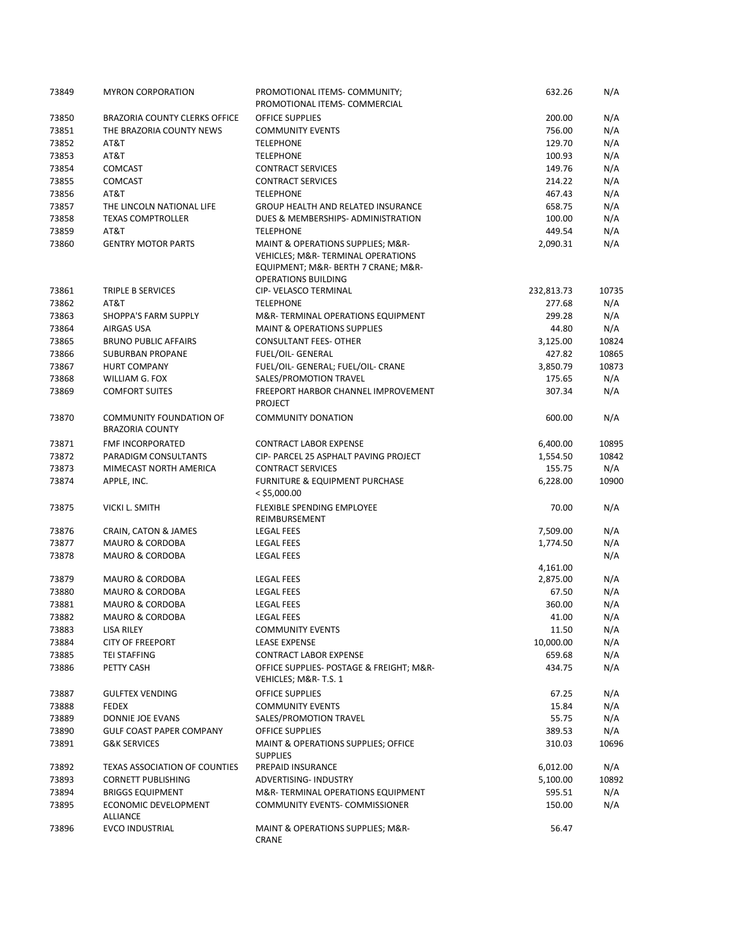| 73849 | <b>MYRON CORPORATION</b>                          | PROMOTIONAL ITEMS- COMMUNITY;<br>PROMOTIONAL ITEMS- COMMERCIAL                                                            | 632.26     | N/A   |
|-------|---------------------------------------------------|---------------------------------------------------------------------------------------------------------------------------|------------|-------|
| 73850 | <b>BRAZORIA COUNTY CLERKS OFFICE</b>              | OFFICE SUPPLIES                                                                                                           | 200.00     | N/A   |
| 73851 | THE BRAZORIA COUNTY NEWS                          | <b>COMMUNITY EVENTS</b>                                                                                                   | 756.00     | N/A   |
| 73852 | AT&T                                              | <b>TELEPHONE</b>                                                                                                          | 129.70     | N/A   |
| 73853 | AT&T                                              | <b>TELEPHONE</b>                                                                                                          | 100.93     | N/A   |
| 73854 | <b>COMCAST</b>                                    | <b>CONTRACT SERVICES</b>                                                                                                  | 149.76     | N/A   |
| 73855 | <b>COMCAST</b>                                    | <b>CONTRACT SERVICES</b>                                                                                                  | 214.22     | N/A   |
| 73856 | AT&T                                              | <b>TELEPHONE</b>                                                                                                          | 467.43     | N/A   |
| 73857 | THE LINCOLN NATIONAL LIFE                         | <b>GROUP HEALTH AND RELATED INSURANCE</b>                                                                                 | 658.75     | N/A   |
| 73858 | <b>TEXAS COMPTROLLER</b>                          | DUES & MEMBERSHIPS- ADMINISTRATION                                                                                        | 100.00     | N/A   |
| 73859 | AT&T                                              | <b>TELEPHONE</b>                                                                                                          | 449.54     | N/A   |
| 73860 | <b>GENTRY MOTOR PARTS</b>                         | MAINT & OPERATIONS SUPPLIES; M&R-<br><b>VEHICLES; M&amp;R- TERMINAL OPERATIONS</b><br>EQUIPMENT; M&R- BERTH 7 CRANE; M&R- | 2,090.31   | N/A   |
|       |                                                   | <b>OPERATIONS BUILDING</b>                                                                                                |            |       |
| 73861 | TRIPLE B SERVICES                                 | CIP- VELASCO TERMINAL                                                                                                     | 232,813.73 | 10735 |
| 73862 | AT&T                                              | <b>TELEPHONE</b>                                                                                                          | 277.68     | N/A   |
| 73863 | SHOPPA'S FARM SUPPLY                              | M&R-TERMINAL OPERATIONS EQUIPMENT<br><b>MAINT &amp; OPERATIONS SUPPLIES</b>                                               | 299.28     | N/A   |
| 73864 | AIRGAS USA                                        |                                                                                                                           | 44.80      | N/A   |
| 73865 | <b>BRUNO PUBLIC AFFAIRS</b>                       | <b>CONSULTANT FEES- OTHER</b>                                                                                             | 3,125.00   | 10824 |
| 73866 | <b>SUBURBAN PROPANE</b>                           | FUEL/OIL- GENERAL                                                                                                         | 427.82     | 10865 |
| 73867 | <b>HURT COMPANY</b>                               | FUEL/OIL- GENERAL; FUEL/OIL- CRANE                                                                                        | 3,850.79   | 10873 |
| 73868 | WILLIAM G. FOX                                    | SALES/PROMOTION TRAVEL                                                                                                    | 175.65     | N/A   |
| 73869 | <b>COMFORT SUITES</b>                             | FREEPORT HARBOR CHANNEL IMPROVEMENT<br><b>PROJECT</b>                                                                     | 307.34     | N/A   |
| 73870 | COMMUNITY FOUNDATION OF<br><b>BRAZORIA COUNTY</b> | <b>COMMUNITY DONATION</b>                                                                                                 | 600.00     | N/A   |
| 73871 | FMF INCORPORATED                                  | <b>CONTRACT LABOR EXPENSE</b>                                                                                             | 6,400.00   | 10895 |
| 73872 | PARADIGM CONSULTANTS                              | CIP- PARCEL 25 ASPHALT PAVING PROJECT                                                                                     | 1,554.50   | 10842 |
| 73873 | MIMECAST NORTH AMERICA                            | <b>CONTRACT SERVICES</b>                                                                                                  | 155.75     | N/A   |
| 73874 | APPLE, INC.                                       | FURNITURE & EQUIPMENT PURCHASE<br>$<$ \$5,000.00                                                                          | 6,228.00   | 10900 |
| 73875 | VICKI L. SMITH                                    | <b>FLEXIBLE SPENDING EMPLOYEE</b><br>REIMBURSEMENT                                                                        | 70.00      | N/A   |
| 73876 | CRAIN, CATON & JAMES                              | LEGAL FEES                                                                                                                | 7,509.00   | N/A   |
| 73877 | <b>MAURO &amp; CORDOBA</b>                        | <b>LEGAL FEES</b>                                                                                                         | 1,774.50   | N/A   |
| 73878 | <b>MAURO &amp; CORDOBA</b>                        | <b>LEGAL FEES</b>                                                                                                         |            | N/A   |
|       |                                                   |                                                                                                                           | 4,161.00   |       |
| 73879 | MAURO & CORDOBA                                   | <b>LEGAL FEES</b>                                                                                                         | 2,875.00   | N/A   |
| 73880 | <b>MAURO &amp; CORDOBA</b>                        | <b>LEGAL FEES</b>                                                                                                         | 67.50      | N/A   |
| 73881 | <b>MAURO &amp; CORDOBA</b>                        | <b>LEGAL FEES</b>                                                                                                         | 360.00     | N/A   |
| 73882 | <b>MAURO &amp; CORDOBA</b>                        | <b>LEGAL FEES</b>                                                                                                         | 41.00      | N/A   |
| 73883 | LISA RILEY                                        | <b>COMMUNITY EVENTS</b>                                                                                                   | 11.50      | N/A   |
| 73884 | <b>CITY OF FREEPORT</b>                           | <b>LEASE EXPENSE</b>                                                                                                      | 10,000.00  | N/A   |
| 73885 | TEI STAFFING                                      | <b>CONTRACT LABOR EXPENSE</b>                                                                                             | 659.68     | N/A   |
| 73886 | PETTY CASH                                        | OFFICE SUPPLIES- POSTAGE & FREIGHT; M&R-<br>VEHICLES; M&R- T.S. 1                                                         | 434.75     | N/A   |
| 73887 | <b>GULFTEX VENDING</b>                            | OFFICE SUPPLIES                                                                                                           | 67.25      | N/A   |
| 73888 | <b>FEDEX</b>                                      | <b>COMMUNITY EVENTS</b>                                                                                                   | 15.84      | N/A   |
| 73889 | DONNIE JOE EVANS                                  | SALES/PROMOTION TRAVEL                                                                                                    | 55.75      | N/A   |
| 73890 | <b>GULF COAST PAPER COMPANY</b>                   | <b>OFFICE SUPPLIES</b>                                                                                                    | 389.53     | N/A   |
| 73891 | <b>G&amp;K SERVICES</b>                           | <b>MAINT &amp; OPERATIONS SUPPLIES; OFFICE</b><br><b>SUPPLIES</b>                                                         | 310.03     | 10696 |
| 73892 | <b>TEXAS ASSOCIATION OF COUNTIES</b>              | PREPAID INSURANCE                                                                                                         | 6,012.00   | N/A   |
| 73893 | <b>CORNETT PUBLISHING</b>                         | ADVERTISING- INDUSTRY                                                                                                     | 5,100.00   | 10892 |
| 73894 | <b>BRIGGS EQUIPMENT</b>                           | M&R-TERMINAL OPERATIONS EQUIPMENT                                                                                         | 595.51     | N/A   |
| 73895 | ECONOMIC DEVELOPMENT<br><b>ALLIANCE</b>           | COMMUNITY EVENTS- COMMISSIONER                                                                                            | 150.00     | N/A   |
| 73896 | <b>EVCO INDUSTRIAL</b>                            | MAINT & OPERATIONS SUPPLIES; M&R-<br>CRANE                                                                                | 56.47      |       |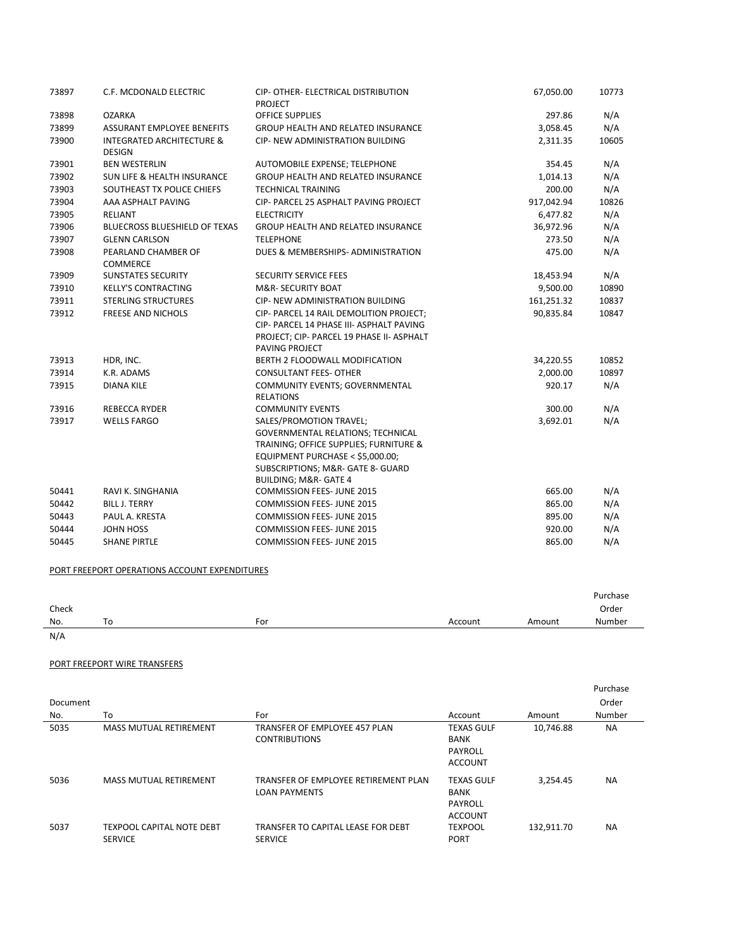| 73897 | C.F. MCDONALD ELECTRIC                                | CIP- OTHER- ELECTRICAL DISTRIBUTION<br>PROJECT                                                                                                    | 67,050.00  | 10773 |
|-------|-------------------------------------------------------|---------------------------------------------------------------------------------------------------------------------------------------------------|------------|-------|
| 73898 | <b>OZARKA</b>                                         | <b>OFFICE SUPPLIES</b>                                                                                                                            | 297.86     | N/A   |
| 73899 | <b>ASSURANT EMPLOYEE BENEFITS</b>                     | GROUP HEALTH AND RELATED INSURANCE                                                                                                                | 3,058.45   | N/A   |
| 73900 | <b>INTEGRATED ARCHITECTURE &amp;</b><br><b>DESIGN</b> | <b>CIP- NEW ADMINISTRATION BUILDING</b>                                                                                                           | 2,311.35   | 10605 |
| 73901 | <b>BEN WESTERLIN</b>                                  | AUTOMOBILE EXPENSE; TELEPHONE                                                                                                                     | 354.45     | N/A   |
| 73902 | <b>SUN LIFE &amp; HEALTH INSURANCE</b>                | <b>GROUP HEALTH AND RELATED INSURANCE</b>                                                                                                         | 1,014.13   | N/A   |
| 73903 | SOUTHEAST TX POLICE CHIEFS                            | <b>TECHNICAL TRAINING</b>                                                                                                                         | 200.00     | N/A   |
| 73904 | AAA ASPHALT PAVING                                    | CIP- PARCEL 25 ASPHALT PAVING PROJECT                                                                                                             | 917,042.94 | 10826 |
| 73905 | <b>RELIANT</b>                                        | <b>ELECTRICITY</b>                                                                                                                                | 6,477.82   | N/A   |
| 73906 | <b>BLUECROSS BLUESHIELD OF TEXAS</b>                  | <b>GROUP HEALTH AND RELATED INSURANCE</b>                                                                                                         | 36,972.96  | N/A   |
| 73907 | <b>GLENN CARLSON</b>                                  | <b>TELEPHONE</b>                                                                                                                                  | 273.50     | N/A   |
| 73908 | PEARLAND CHAMBER OF<br><b>COMMERCE</b>                | DUES & MEMBERSHIPS- ADMINISTRATION                                                                                                                | 475.00     | N/A   |
| 73909 | <b>SUNSTATES SECURITY</b>                             | SECURITY SERVICE FEES                                                                                                                             | 18,453.94  | N/A   |
| 73910 | <b>KELLY'S CONTRACTING</b>                            | M&R- SECURITY BOAT                                                                                                                                | 9,500.00   | 10890 |
| 73911 | <b>STERLING STRUCTURES</b>                            | CIP- NEW ADMINISTRATION BUILDING                                                                                                                  | 161,251.32 | 10837 |
| 73912 | <b>FREESE AND NICHOLS</b>                             | CIP- PARCEL 14 RAIL DEMOLITION PROJECT:                                                                                                           | 90,835.84  | 10847 |
|       |                                                       | CIP- PARCEL 14 PHASE III- ASPHALT PAVING<br>PROJECT; CIP- PARCEL 19 PHASE II- ASPHALT<br>PAVING PROJECT                                           |            |       |
| 73913 | HDR, INC.                                             | <b>BERTH 2 FLOODWALL MODIFICATION</b>                                                                                                             | 34,220.55  | 10852 |
| 73914 | K.R. ADAMS                                            | <b>CONSULTANT FEES- OTHER</b>                                                                                                                     | 2,000.00   | 10897 |
| 73915 | <b>DIANA KILE</b>                                     | COMMUNITY EVENTS; GOVERNMENTAL<br><b>RELATIONS</b>                                                                                                | 920.17     | N/A   |
| 73916 | <b>REBECCA RYDER</b>                                  | <b>COMMUNITY EVENTS</b>                                                                                                                           | 300.00     | N/A   |
| 73917 | <b>WELLS FARGO</b>                                    | SALES/PROMOTION TRAVEL;<br><b>GOVERNMENTAL RELATIONS; TECHNICAL</b><br>TRAINING; OFFICE SUPPLIES; FURNITURE &<br>EQUIPMENT PURCHASE < \$5,000.00; | 3,692.01   | N/A   |
|       |                                                       | SUBSCRIPTIONS; M&R- GATE 8- GUARD<br><b>BUILDING; M&amp;R- GATE 4</b>                                                                             |            |       |
| 50441 | RAVI K. SINGHANIA                                     | <b>COMMISSION FEES- JUNE 2015</b>                                                                                                                 | 665.00     | N/A   |
| 50442 | <b>BILL J. TERRY</b>                                  | <b>COMMISSION FEES- JUNE 2015</b>                                                                                                                 | 865.00     | N/A   |
| 50443 | PAUL A. KRESTA                                        | <b>COMMISSION FEES- JUNE 2015</b>                                                                                                                 | 895.00     | N/A   |
| 50444 | <b>JOHN HOSS</b>                                      | <b>COMMISSION FEES-JUNE 2015</b>                                                                                                                  | 920.00     | N/A   |
| 50445 | <b>SHANE PIRTLE</b>                                   | <b>COMMISSION FEES- JUNE 2015</b>                                                                                                                 | 865.00     | N/A   |

## PORT FREEPORT OPERATIONS ACCOUNT EXPENDITURES

|       |    |     |         |        | Purchase |
|-------|----|-----|---------|--------|----------|
| Check |    |     |         |        | Order    |
| No.   | To | For | Account | Amount | Number   |
| N/A   |    |     |         |        |          |

## PORT FREEPORT WIRE TRANSFERS

|          |                                                    |                                                              |                                                               |            | Purchase  |
|----------|----------------------------------------------------|--------------------------------------------------------------|---------------------------------------------------------------|------------|-----------|
| Document |                                                    |                                                              |                                                               |            | Order     |
| No.      | To                                                 | For                                                          | Account                                                       | Amount     | Number    |
| 5035     | <b>MASS MUTUAL RETIREMENT</b>                      | TRANSFER OF EMPLOYEE 457 PLAN<br><b>CONTRIBUTIONS</b>        | <b>TEXAS GULF</b><br>BANK<br>PAYROLL<br><b>ACCOUNT</b>        | 10,746.88  | <b>NA</b> |
| 5036     | <b>MASS MUTUAL RETIREMENT</b>                      | TRANSFER OF EMPLOYEE RETIREMENT PLAN<br><b>LOAN PAYMENTS</b> | <b>TEXAS GULF</b><br><b>BANK</b><br>PAYROLL<br><b>ACCOUNT</b> | 3.254.45   | <b>NA</b> |
| 5037     | <b>TEXPOOL CAPITAL NOTE DEBT</b><br><b>SERVICE</b> | TRANSFER TO CAPITAL LEASE FOR DEBT<br><b>SERVICE</b>         | <b>TEXPOOL</b><br><b>PORT</b>                                 | 132.911.70 | <b>NA</b> |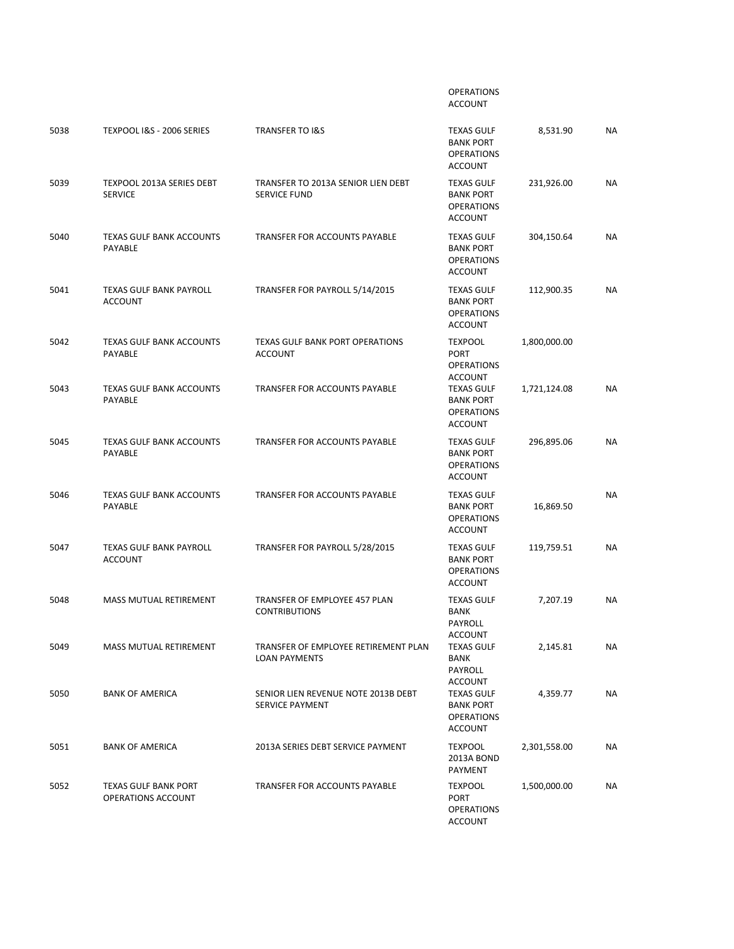|      |                                                   |                                                              | <b>OPERATIONS</b><br><b>ACCOUNT</b>                                          |              |           |
|------|---------------------------------------------------|--------------------------------------------------------------|------------------------------------------------------------------------------|--------------|-----------|
| 5038 | TEXPOOL I&S - 2006 SERIES                         | <b>TRANSFER TO I&amp;S</b>                                   | <b>TEXAS GULF</b><br><b>BANK PORT</b><br><b>OPERATIONS</b><br><b>ACCOUNT</b> | 8,531.90     | NA        |
| 5039 | TEXPOOL 2013A SERIES DEBT<br><b>SERVICE</b>       | TRANSFER TO 2013A SENIOR LIEN DEBT<br><b>SERVICE FUND</b>    | <b>TEXAS GULF</b><br><b>BANK PORT</b><br><b>OPERATIONS</b><br><b>ACCOUNT</b> | 231,926.00   | <b>NA</b> |
| 5040 | TEXAS GULF BANK ACCOUNTS<br>PAYABLE               | TRANSFER FOR ACCOUNTS PAYABLE                                | <b>TEXAS GULF</b><br><b>BANK PORT</b><br><b>OPERATIONS</b><br><b>ACCOUNT</b> | 304,150.64   | NA        |
| 5041 | <b>TEXAS GULF BANK PAYROLL</b><br><b>ACCOUNT</b>  | TRANSFER FOR PAYROLL 5/14/2015                               | <b>TEXAS GULF</b><br><b>BANK PORT</b><br><b>OPERATIONS</b><br><b>ACCOUNT</b> | 112,900.35   | <b>NA</b> |
| 5042 | <b>TEXAS GULF BANK ACCOUNTS</b><br>PAYABLE        | <b>TEXAS GULF BANK PORT OPERATIONS</b><br><b>ACCOUNT</b>     | <b>TEXPOOL</b><br><b>PORT</b><br><b>OPERATIONS</b><br><b>ACCOUNT</b>         | 1,800,000.00 |           |
| 5043 | <b>TEXAS GULF BANK ACCOUNTS</b><br><b>PAYABLE</b> | <b>TRANSFER FOR ACCOUNTS PAYABLE</b>                         | <b>TEXAS GULF</b><br><b>BANK PORT</b><br><b>OPERATIONS</b><br><b>ACCOUNT</b> | 1,721,124.08 | ΝA        |
| 5045 | <b>TEXAS GULF BANK ACCOUNTS</b><br>PAYABLE        | TRANSFER FOR ACCOUNTS PAYABLE                                | <b>TEXAS GULF</b><br><b>BANK PORT</b><br><b>OPERATIONS</b><br><b>ACCOUNT</b> | 296,895.06   | <b>NA</b> |
| 5046 | <b>TEXAS GULF BANK ACCOUNTS</b><br>PAYABLE        | TRANSFER FOR ACCOUNTS PAYABLE                                | <b>TEXAS GULF</b><br><b>BANK PORT</b><br><b>OPERATIONS</b><br><b>ACCOUNT</b> | 16,869.50    | <b>NA</b> |
| 5047 | <b>TEXAS GULF BANK PAYROLL</b><br><b>ACCOUNT</b>  | TRANSFER FOR PAYROLL 5/28/2015                               | <b>TEXAS GULF</b><br><b>BANK PORT</b><br><b>OPERATIONS</b><br><b>ACCOUNT</b> | 119,759.51   | <b>NA</b> |
| 5048 | <b>MASS MUTUAL RETIREMENT</b>                     | TRANSFER OF EMPLOYEE 457 PLAN<br><b>CONTRIBUTIONS</b>        | <b>TEXAS GULF</b><br><b>BANK</b><br>PAYROLL<br><b>ACCOUNT</b>                | 7,207.19     | <b>NA</b> |
| 5049 | MASS MUTUAL RETIREMENT                            | TRANSFER OF EMPLOYEE RETIREMENT PLAN<br><b>LOAN PAYMENTS</b> | <b>TEXAS GULF</b><br><b>BANK</b><br>PAYROLL<br>ACCOUNT                       | 2,145.81     | NA        |
| 5050 | <b>BANK OF AMERICA</b>                            | SENIOR LIEN REVENUE NOTE 2013B DEBT<br>SERVICE PAYMENT       | <b>TEXAS GULF</b><br><b>BANK PORT</b><br><b>OPERATIONS</b><br><b>ACCOUNT</b> | 4,359.77     | NA        |
| 5051 | <b>BANK OF AMERICA</b>                            | 2013A SERIES DEBT SERVICE PAYMENT                            | <b>TEXPOOL</b><br>2013A BOND<br>PAYMENT                                      | 2,301,558.00 | NA        |
| 5052 | <b>TEXAS GULF BANK PORT</b><br>OPERATIONS ACCOUNT | TRANSFER FOR ACCOUNTS PAYABLE                                | <b>TEXPOOL</b><br><b>PORT</b><br><b>OPERATIONS</b><br><b>ACCOUNT</b>         | 1,500,000.00 | NA        |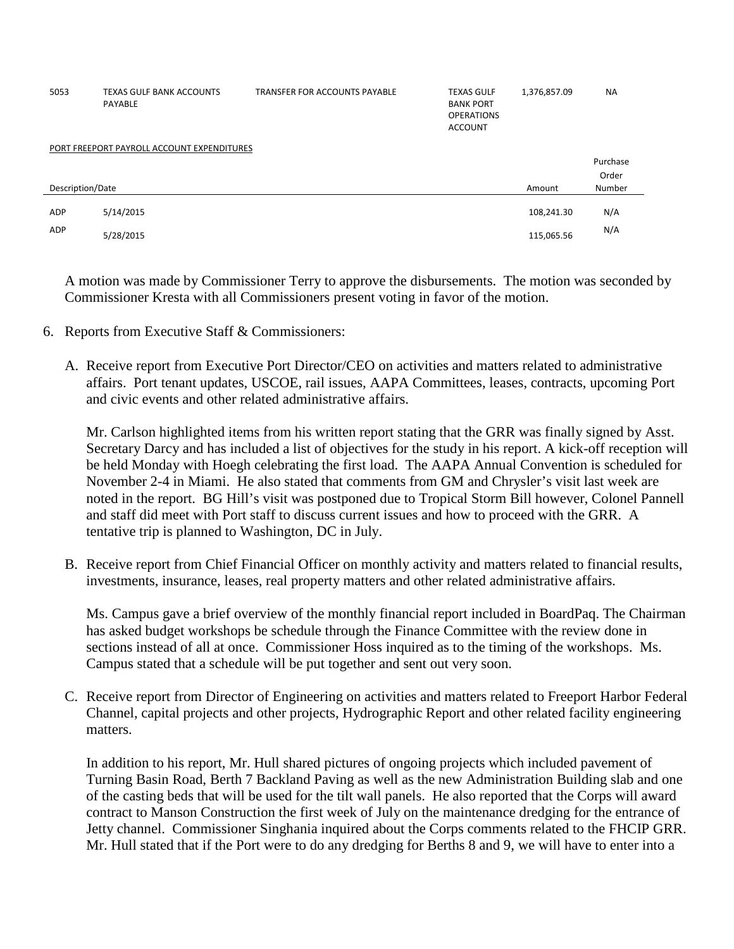| 5053             | <b>TEXAS GULF BANK ACCOUNTS</b><br>PAYABLE | TRANSFER FOR ACCOUNTS PAYABLE | <b>TEXAS GULF</b><br><b>BANK PORT</b><br><b>OPERATIONS</b><br><b>ACCOUNT</b> | 1,376,857.09 | <b>NA</b> |  |  |  |
|------------------|--------------------------------------------|-------------------------------|------------------------------------------------------------------------------|--------------|-----------|--|--|--|
|                  | PORT FREEPORT PAYROLL ACCOUNT EXPENDITURES |                               |                                                                              |              |           |  |  |  |
|                  |                                            |                               |                                                                              |              | Purchase  |  |  |  |
|                  |                                            |                               |                                                                              |              | Order     |  |  |  |
| Description/Date |                                            |                               |                                                                              | Amount       | Number    |  |  |  |
|                  |                                            |                               |                                                                              |              |           |  |  |  |
| <b>ADP</b>       | 5/14/2015                                  |                               |                                                                              | 108,241.30   | N/A       |  |  |  |
| ADP              | 5/28/2015                                  |                               |                                                                              | 115,065.56   | N/A       |  |  |  |

A motion was made by Commissioner Terry to approve the disbursements. The motion was seconded by Commissioner Kresta with all Commissioners present voting in favor of the motion.

- 6. Reports from Executive Staff & Commissioners:
	- A. Receive report from Executive Port Director/CEO on activities and matters related to administrative affairs. Port tenant updates, USCOE, rail issues, AAPA Committees, leases, contracts, upcoming Port and civic events and other related administrative affairs.

Mr. Carlson highlighted items from his written report stating that the GRR was finally signed by Asst. Secretary Darcy and has included a list of objectives for the study in his report. A kick-off reception will be held Monday with Hoegh celebrating the first load. The AAPA Annual Convention is scheduled for November 2-4 in Miami. He also stated that comments from GM and Chrysler's visit last week are noted in the report. BG Hill's visit was postponed due to Tropical Storm Bill however, Colonel Pannell and staff did meet with Port staff to discuss current issues and how to proceed with the GRR. A tentative trip is planned to Washington, DC in July.

B. Receive report from Chief Financial Officer on monthly activity and matters related to financial results, investments, insurance, leases, real property matters and other related administrative affairs.

Ms. Campus gave a brief overview of the monthly financial report included in BoardPaq. The Chairman has asked budget workshops be schedule through the Finance Committee with the review done in sections instead of all at once. Commissioner Hoss inquired as to the timing of the workshops. Ms. Campus stated that a schedule will be put together and sent out very soon.

C. Receive report from Director of Engineering on activities and matters related to Freeport Harbor Federal Channel, capital projects and other projects, Hydrographic Report and other related facility engineering matters.

In addition to his report, Mr. Hull shared pictures of ongoing projects which included pavement of Turning Basin Road, Berth 7 Backland Paving as well as the new Administration Building slab and one of the casting beds that will be used for the tilt wall panels. He also reported that the Corps will award contract to Manson Construction the first week of July on the maintenance dredging for the entrance of Jetty channel. Commissioner Singhania inquired about the Corps comments related to the FHCIP GRR. Mr. Hull stated that if the Port were to do any dredging for Berths 8 and 9, we will have to enter into a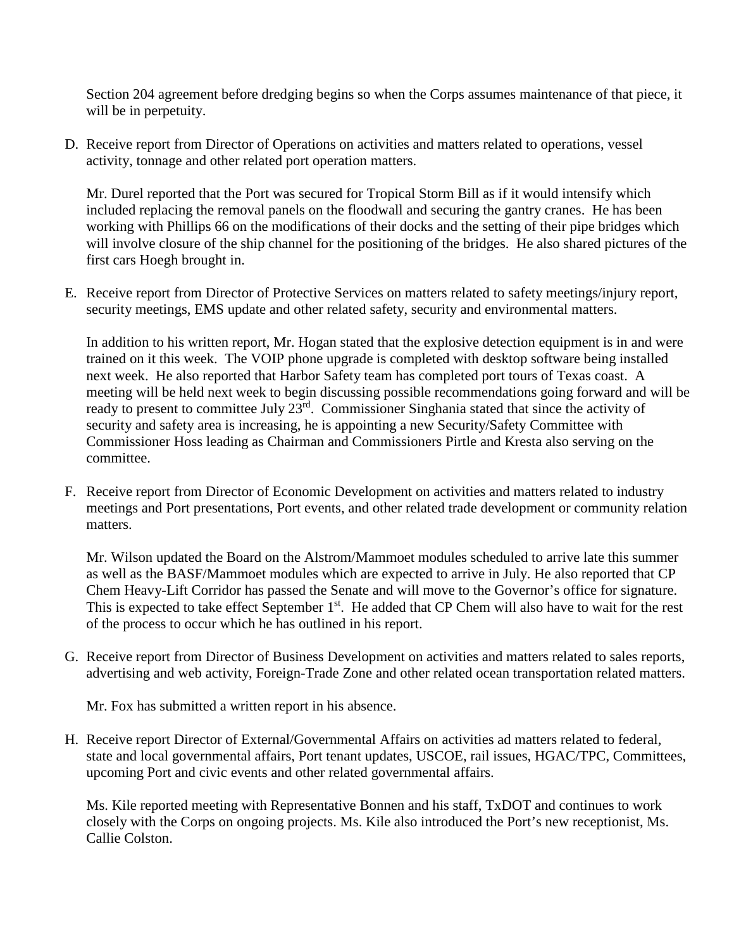Section 204 agreement before dredging begins so when the Corps assumes maintenance of that piece, it will be in perpetuity.

D. Receive report from Director of Operations on activities and matters related to operations, vessel activity, tonnage and other related port operation matters.

Mr. Durel reported that the Port was secured for Tropical Storm Bill as if it would intensify which included replacing the removal panels on the floodwall and securing the gantry cranes. He has been working with Phillips 66 on the modifications of their docks and the setting of their pipe bridges which will involve closure of the ship channel for the positioning of the bridges. He also shared pictures of the first cars Hoegh brought in.

E. Receive report from Director of Protective Services on matters related to safety meetings/injury report, security meetings, EMS update and other related safety, security and environmental matters.

In addition to his written report, Mr. Hogan stated that the explosive detection equipment is in and were trained on it this week. The VOIP phone upgrade is completed with desktop software being installed next week. He also reported that Harbor Safety team has completed port tours of Texas coast. A meeting will be held next week to begin discussing possible recommendations going forward and will be ready to present to committee July 23rd. Commissioner Singhania stated that since the activity of security and safety area is increasing, he is appointing a new Security/Safety Committee with Commissioner Hoss leading as Chairman and Commissioners Pirtle and Kresta also serving on the committee.

F. Receive report from Director of Economic Development on activities and matters related to industry meetings and Port presentations, Port events, and other related trade development or community relation matters.

Mr. Wilson updated the Board on the Alstrom/Mammoet modules scheduled to arrive late this summer as well as the BASF/Mammoet modules which are expected to arrive in July. He also reported that CP Chem Heavy-Lift Corridor has passed the Senate and will move to the Governor's office for signature. This is expected to take effect September 1<sup>st</sup>. He added that CP Chem will also have to wait for the rest of the process to occur which he has outlined in his report.

G. Receive report from Director of Business Development on activities and matters related to sales reports, advertising and web activity, Foreign-Trade Zone and other related ocean transportation related matters.

Mr. Fox has submitted a written report in his absence.

H. Receive report Director of External/Governmental Affairs on activities ad matters related to federal, state and local governmental affairs, Port tenant updates, USCOE, rail issues, HGAC/TPC, Committees, upcoming Port and civic events and other related governmental affairs.

Ms. Kile reported meeting with Representative Bonnen and his staff, TxDOT and continues to work closely with the Corps on ongoing projects. Ms. Kile also introduced the Port's new receptionist, Ms. Callie Colston.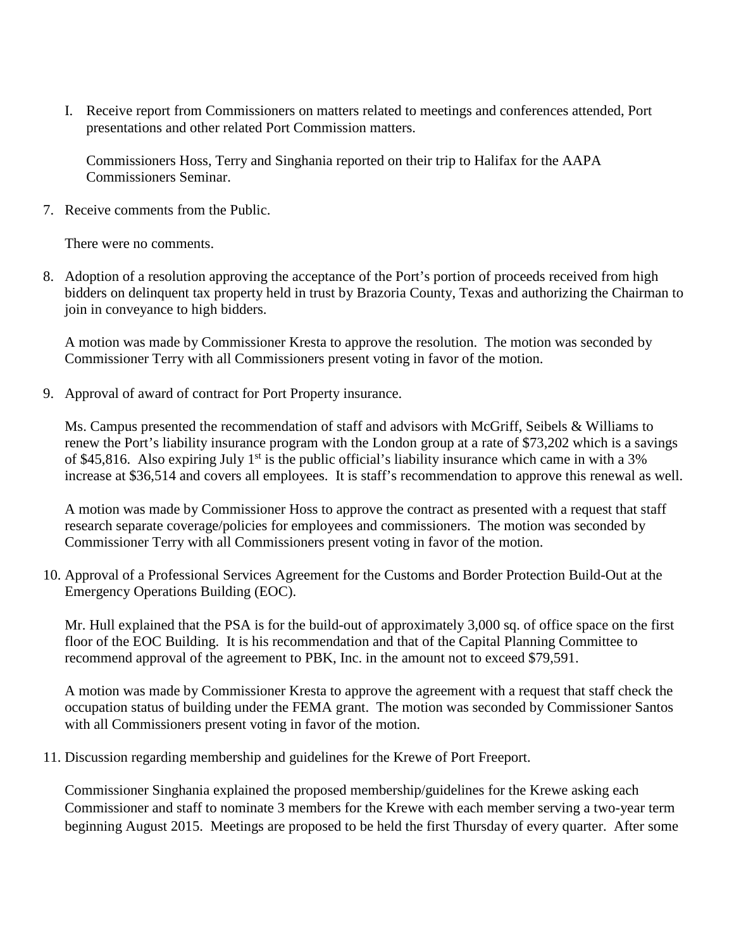I. Receive report from Commissioners on matters related to meetings and conferences attended, Port presentations and other related Port Commission matters.

Commissioners Hoss, Terry and Singhania reported on their trip to Halifax for the AAPA Commissioners Seminar.

7. Receive comments from the Public.

There were no comments.

8. Adoption of a resolution approving the acceptance of the Port's portion of proceeds received from high bidders on delinquent tax property held in trust by Brazoria County, Texas and authorizing the Chairman to join in conveyance to high bidders.

A motion was made by Commissioner Kresta to approve the resolution. The motion was seconded by Commissioner Terry with all Commissioners present voting in favor of the motion.

9. Approval of award of contract for Port Property insurance.

Ms. Campus presented the recommendation of staff and advisors with McGriff, Seibels & Williams to renew the Port's liability insurance program with the London group at a rate of \$73,202 which is a savings of \$45,816. Also expiring July 1<sup>st</sup> is the public official's liability insurance which came in with a 3% increase at \$36,514 and covers all employees. It is staff's recommendation to approve this renewal as well.

A motion was made by Commissioner Hoss to approve the contract as presented with a request that staff research separate coverage/policies for employees and commissioners. The motion was seconded by Commissioner Terry with all Commissioners present voting in favor of the motion.

10. Approval of a Professional Services Agreement for the Customs and Border Protection Build-Out at the Emergency Operations Building (EOC).

Mr. Hull explained that the PSA is for the build-out of approximately 3,000 sq. of office space on the first floor of the EOC Building. It is his recommendation and that of the Capital Planning Committee to recommend approval of the agreement to PBK, Inc. in the amount not to exceed \$79,591.

A motion was made by Commissioner Kresta to approve the agreement with a request that staff check the occupation status of building under the FEMA grant. The motion was seconded by Commissioner Santos with all Commissioners present voting in favor of the motion.

11. Discussion regarding membership and guidelines for the Krewe of Port Freeport.

Commissioner Singhania explained the proposed membership/guidelines for the Krewe asking each Commissioner and staff to nominate 3 members for the Krewe with each member serving a two-year term beginning August 2015. Meetings are proposed to be held the first Thursday of every quarter. After some